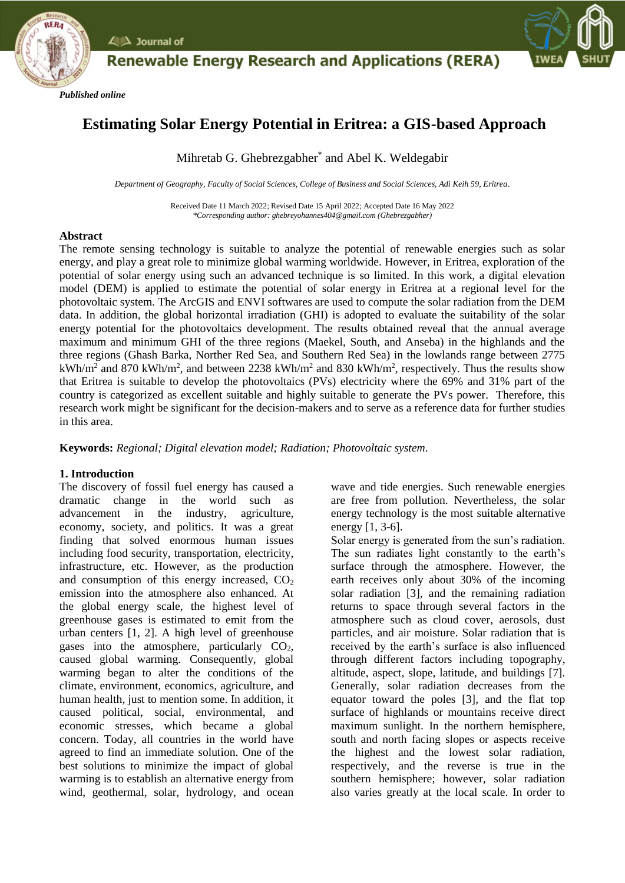



# **Estimating Solar Energy Potential in Eritrea: a GIS-based Approach**

Mihretab G. Ghebrezgabher\* and Abel K. Weldegabir

*Department of Geography, Faculty of Social Sciences, College of Business and Social Sciences, Adi Keih 59, Eritrea.*

Received Date 11 March 2022; Revised Date 15 April 2022; Accepted Date 16 May 2022 *\*Corresponding author: ghebreyohannes404@gmail.com (Ghebrezgabher)*

## **Abstract**

*Published online*

 $\angle$   $\triangle$  Journal of

The remote sensing technology is suitable to analyze the potential of renewable energies such as solar energy, and play a great role to minimize global warming worldwide. However, in Eritrea, exploration of the potential of solar energy using such an advanced technique is so limited. In this work, a digital elevation model (DEM) is applied to estimate the potential of solar energy in Eritrea at a regional level for the photovoltaic system. The ArcGIS and ENVI softwares are used to compute the solar radiation from the DEM data. In addition, the global horizontal irradiation (GHI) is adopted to evaluate the suitability of the solar energy potential for the photovoltaics development. The results obtained reveal that the annual average maximum and minimum GHI of the three regions (Maekel, South, and Anseba) in the highlands and the three regions (Ghash Barka, Norther Red Sea, and Southern Red Sea) in the lowlands range between 2775 kWh/m<sup>2</sup> and 870 kWh/m<sup>2</sup>, and between 2238 kWh/m<sup>2</sup> and 830 kWh/m<sup>2</sup>, respectively. Thus the results show that Eritrea is suitable to develop the photovoltaics (PVs) electricity where the 69% and 31% part of the country is categorized as excellent suitable and highly suitable to generate the PVs power. Therefore, this research work might be significant for the decision-makers and to serve as a reference data for further studies in this area.

**Keywords:** *Regional; Digital elevation model; Radiation; Photovoltaic system.*

# **1. Introduction**

The discovery of fossil fuel energy has caused a dramatic change in the world such as advancement in the industry, agriculture, economy, society, and politics. It was a great finding that solved enormous human issues including food security, transportation, electricity, infrastructure, etc. However, as the production and consumption of this energy increased,  $CO<sub>2</sub>$ emission into the atmosphere also enhanced. At the global energy scale, the highest level of greenhouse gases is estimated to emit from the urban centers [1, 2]. A high level of greenhouse gases into the atmosphere, particularly  $CO<sub>2</sub>$ , caused global warming. Consequently, global warming began to alter the conditions of the climate, environment, economics, agriculture, and human health, just to mention some. In addition, it caused political, social, environmental, and economic stresses, which became a global concern. Today, all countries in the world have agreed to find an immediate solution. One of the best solutions to minimize the impact of global warming is to establish an alternative energy from wind, geothermal, solar, hydrology, and ocean wave and tide energies. Such renewable energies are free from pollution. Nevertheless, the solar energy technology is the most suitable alternative energy [1, 3-6].

Solar energy is generated from the sun's radiation. The sun radiates light constantly to the earth's surface through the atmosphere. However, the earth receives only about 30% of the incoming solar radiation [3], and the remaining radiation returns to space through several factors in the atmosphere such as cloud cover, aerosols, dust particles, and air moisture. Solar radiation that is received by the earth's surface is also influenced through different factors including topography, altitude, aspect, slope, latitude, and buildings [7]. Generally, solar radiation decreases from the equator toward the poles [3], and the flat top surface of highlands or mountains receive direct maximum sunlight. In the northern hemisphere, south and north facing slopes or aspects receive the highest and the lowest solar radiation, respectively, and the reverse is true in the southern hemisphere; however, solar radiation also varies greatly at the local scale. In order to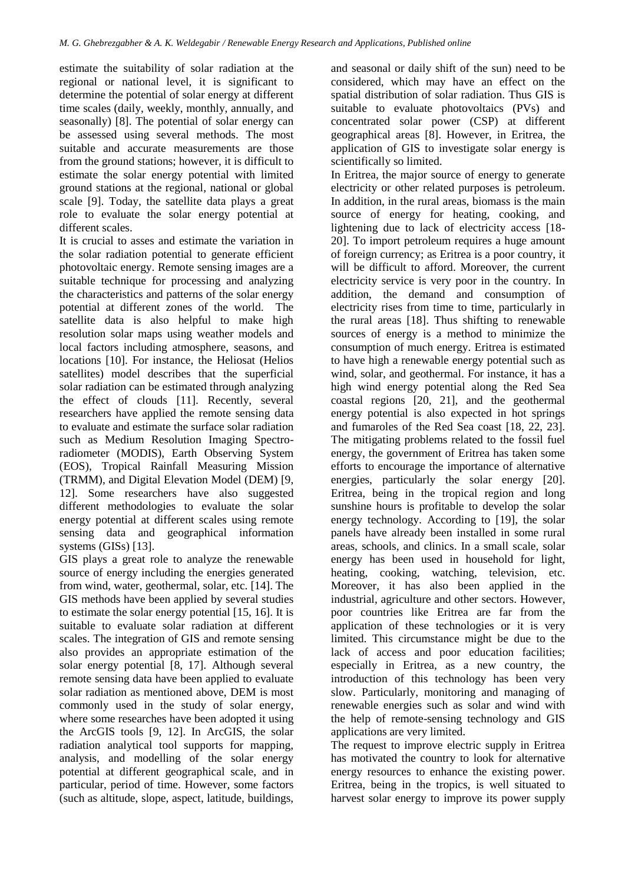estimate the suitability of solar radiation at the regional or national level, it is significant to determine the potential of solar energy at different time scales (daily, weekly, monthly, annually, and seasonally) [8]. The potential of solar energy can be assessed using several methods. The most suitable and accurate measurements are those from the ground stations; however, it is difficult to estimate the solar energy potential with limited ground stations at the regional, national or global scale [9]. Today, the satellite data plays a great role to evaluate the solar energy potential at different scales.

It is crucial to asses and estimate the variation in the solar radiation potential to generate efficient photovoltaic energy. Remote sensing images are a suitable technique for processing and analyzing the characteristics and patterns of the solar energy potential at different zones of the world. The satellite data is also helpful to make high resolution solar maps using weather models and local factors including atmosphere, seasons, and locations [10]. For instance, the Heliosat (Helios satellites) model describes that the superficial solar radiation can be estimated through analyzing the effect of clouds [11]. Recently, several researchers have applied the remote sensing data to evaluate and estimate the surface solar radiation such as Medium Resolution Imaging Spectroradiometer (MODIS), Earth Observing System (EOS), Tropical Rainfall Measuring Mission (TRMM), and Digital Elevation Model (DEM) [9, 12]. Some researchers have also suggested different methodologies to evaluate the solar energy potential at different scales using remote sensing data and geographical information systems (GISs) [13].

GIS plays a great role to analyze the renewable source of energy including the energies generated from wind, water, geothermal, solar, etc. [14]. The GIS methods have been applied by several studies to estimate the solar energy potential [15, 16]. It is suitable to evaluate solar radiation at different scales. The integration of GIS and remote sensing also provides an appropriate estimation of the solar energy potential [8, 17]. Although several remote sensing data have been applied to evaluate solar radiation as mentioned above, DEM is most commonly used in the study of solar energy, where some researches have been adopted it using the ArcGIS tools [9, 12]. In ArcGIS, the solar radiation analytical tool supports for mapping, analysis, and modelling of the solar energy potential at different geographical scale, and in particular, period of time. However, some factors (such as altitude, slope, aspect, latitude, buildings,

and seasonal or daily shift of the sun) need to be considered, which may have an effect on the spatial distribution of solar radiation. Thus GIS is suitable to evaluate photovoltaics (PVs) and concentrated solar power (CSP) at different geographical areas [8]. However, in Eritrea, the application of GIS to investigate solar energy is scientifically so limited.

In Eritrea, the major source of energy to generate electricity or other related purposes is petroleum. In addition, in the rural areas, biomass is the main source of energy for heating, cooking, and lightening due to lack of electricity access [18- 20]. To import petroleum requires a huge amount of foreign currency; as Eritrea is a poor country, it will be difficult to afford. Moreover, the current electricity service is very poor in the country. In addition, the demand and consumption of electricity rises from time to time, particularly in the rural areas [18]. Thus shifting to renewable sources of energy is a method to minimize the consumption of much energy. Eritrea is estimated to have high a renewable energy potential such as wind, solar, and geothermal. For instance, it has a high wind energy potential along the Red Sea coastal regions [20, 21], and the geothermal energy potential is also expected in hot springs and fumaroles of the Red Sea coast [18, 22, 23]. The mitigating problems related to the fossil fuel energy, the government of Eritrea has taken some efforts to encourage the importance of alternative energies, particularly the solar energy [20]. Eritrea, being in the tropical region and long sunshine hours is profitable to develop the solar energy technology. According to [19], the solar panels have already been installed in some rural areas, schools, and clinics. In a small scale, solar energy has been used in household for light, heating, cooking, watching, television, etc. Moreover, it has also been applied in the industrial, agriculture and other sectors. However, poor countries like Eritrea are far from the application of these technologies or it is very limited. This circumstance might be due to the lack of access and poor education facilities; especially in Eritrea, as a new country, the introduction of this technology has been very slow. Particularly, monitoring and managing of renewable energies such as solar and wind with the help of remote-sensing technology and GIS applications are very limited.

The request to improve electric supply in Eritrea has motivated the country to look for alternative energy resources to enhance the existing power. Eritrea, being in the tropics, is well situated to harvest solar energy to improve its power supply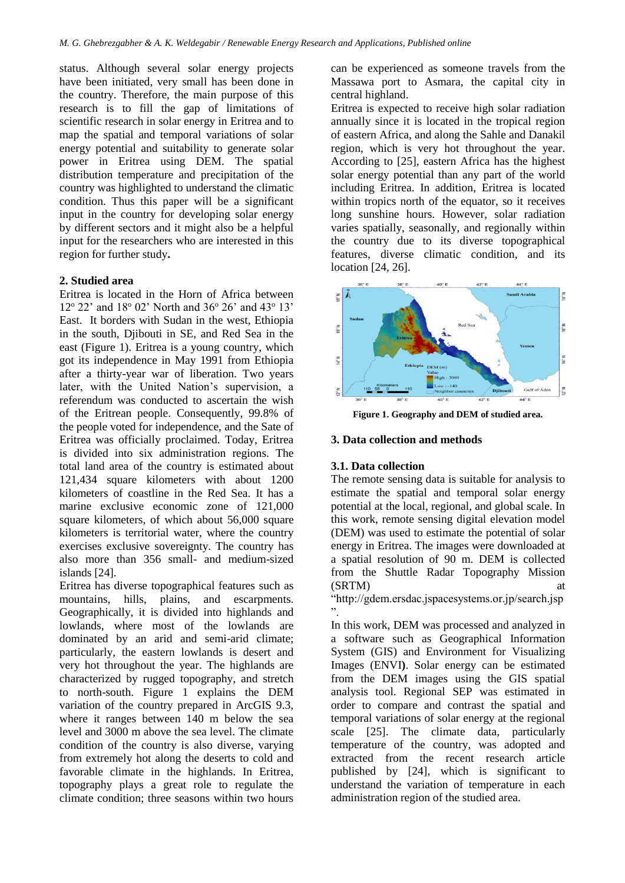status. Although several solar energy projects have been initiated, very small has been done in the country. Therefore, the main purpose of this research is to fill the gap of limitations of scientific research in solar energy in Eritrea and to map the spatial and temporal variations of solar energy potential and suitability to generate solar power in Eritrea using DEM. The spatial distribution temperature and precipitation of the country was highlighted to understand the climatic condition. Thus this paper will be a significant input in the country for developing solar energy by different sectors and it might also be a helpful input for the researchers who are interested in this region for further study**.**

## **2. Studied area**

Eritrea is located in the Horn of Africa between 12° 22' and 18° 02' North and 36° 26' and 43° 13' East. It borders with Sudan in the west, Ethiopia in the south, Djibouti in SE, and Red Sea in the east (Figure 1). Eritrea is a young country, which got its independence in May 1991 from Ethiopia after a thirty-year war of liberation. Two years later, with the United Nation's supervision, a referendum was conducted to ascertain the wish of the Eritrean people. Consequently, 99.8% of the people voted for independence, and the Sate of Eritrea was officially proclaimed. Today, Eritrea is divided into six administration regions. The total land area of the country is estimated about 121,434 square kilometers with about 1200 kilometers of coastline in the Red Sea. It has a marine exclusive economic zone of 121,000 square kilometers, of which about 56,000 square kilometers is territorial water, where the country exercises exclusive sovereignty. The country has also more than 356 small- and medium-sized islands [24].

Eritrea has diverse topographical features such as mountains, hills, plains, and escarpments. Geographically, it is divided into highlands and lowlands, where most of the lowlands are dominated by an arid and semi-arid climate; particularly, the eastern lowlands is desert and very hot throughout the year. The highlands are characterized by rugged topography, and stretch to north-south. Figure 1 explains the DEM variation of the country prepared in ArcGIS 9.3, where it ranges between 140 m below the sea level and 3000 m above the sea level. The climate condition of the country is also diverse, varying from extremely hot along the deserts to cold and favorable climate in the highlands. In Eritrea, topography plays a great role to regulate the climate condition; three seasons within two hours

can be experienced as someone travels from the Massawa port to Asmara, the capital city in central highland.

Eritrea is expected to receive high solar radiation annually since it is located in the tropical region of eastern Africa, and along the Sahle and Danakil region, which is very hot throughout the year. According to [25], eastern Africa has the highest solar energy potential than any part of the world including Eritrea. In addition, Eritrea is located within tropics north of the equator, so it receives long sunshine hours. However, solar radiation varies spatially, seasonally, and regionally within the country due to its diverse topographical features, diverse climatic condition, and its location [24, 26].



**Figure 1. Geography and DEM of studied area.**

## **3. Data collection and methods**

# **3.1. Data collection**

The remote sensing data is suitable for analysis to estimate the spatial and temporal solar energy potential at the local, regional, and global scale. In this work, remote sensing digital elevation model (DEM) was used to estimate the potential of solar energy in Eritrea. The images were downloaded at a spatial resolution of 90 m. DEM is collected from the Shuttle Radar Topography Mission (SRTM) at

"http://gdem.ersdac.jspacesystems.or.jp/search.jsp ".

In this work, DEM was processed and analyzed in a software such as Geographical Information System (GIS) and Environment for Visualizing Images (ENVI**)**. Solar energy can be estimated from the DEM images using the GIS spatial analysis tool. Regional SEP was estimated in order to compare and contrast the spatial and temporal variations of solar energy at the regional scale [25]. The climate data, particularly temperature of the country, was adopted and extracted from the recent research article published by [24], which is significant to understand the variation of temperature in each administration region of the studied area.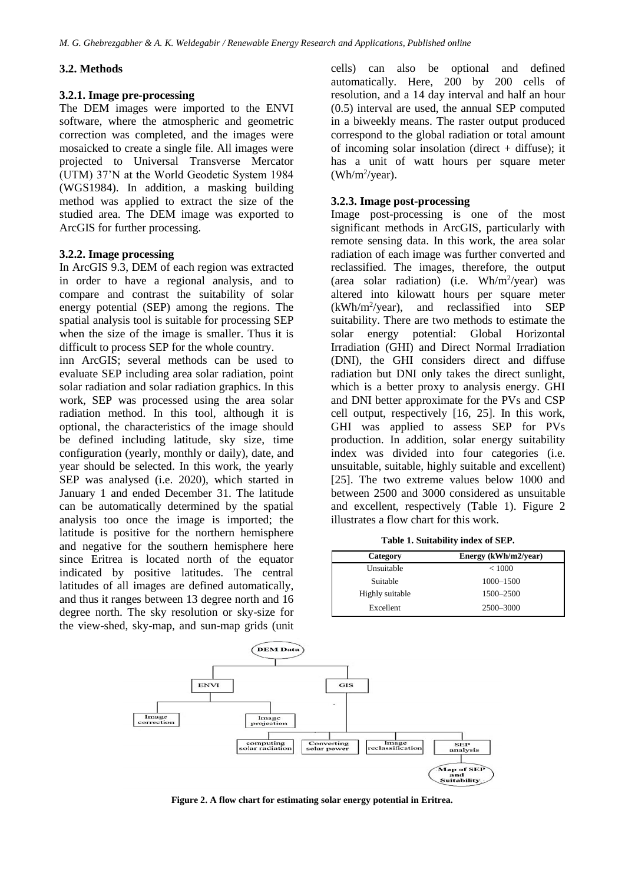#### **3.2. Methods**

#### **3.2.1. Image pre-processing**

The DEM images were imported to the ENVI software, where the atmospheric and geometric correction was completed, and the images were mosaicked to create a single file. All images were projected to Universal Transverse Mercator (UTM) 37'N at the World Geodetic System 1984 (WGS1984). In addition, a masking building method was applied to extract the size of the studied area. The DEM image was exported to ArcGIS for further processing.

## **3.2.2. Image processing**

In ArcGIS 9.3, DEM of each region was extracted in order to have a regional analysis, and to compare and contrast the suitability of solar energy potential (SEP) among the regions. The spatial analysis tool is suitable for processing SEP when the size of the image is smaller. Thus it is difficult to process SEP for the whole country.

inn ArcGIS; several methods can be used to evaluate SEP including area solar radiation, point solar radiation and solar radiation graphics. In this work, SEP was processed using the area solar radiation method. In this tool, although it is optional, the characteristics of the image should be defined including latitude, sky size, time configuration (yearly, monthly or daily), date, and year should be selected. In this work, the yearly SEP was analysed (i.e. 2020), which started in January 1 and ended December 31. The latitude can be automatically determined by the spatial analysis too once the image is imported; the latitude is positive for the northern hemisphere and negative for the southern hemisphere here since Eritrea is located north of the equator indicated by positive latitudes. The central latitudes of all images are defined automatically, and thus it ranges between 13 degree north and 16 degree north. The sky resolution or sky-size for the view-shed, sky-map, and sun-map grids (unit cells) can also be optional and defined automatically. Here, 200 by 200 cells of resolution, and a 14 day interval and half an hour (0.5) interval are used, the annual SEP computed in a biweekly means. The raster output produced correspond to the global radiation or total amount of incoming solar insolation (direct  $+$  diffuse); it has a unit of watt hours per square meter  $(Wh/m^2$ /year).

#### **3.2.3. Image post-processing**

Image post-processing is one of the most significant methods in ArcGIS, particularly with remote sensing data. In this work, the area solar radiation of each image was further converted and reclassified. The images, therefore, the output (area solar radiation) (i.e.  $Wh/m^2/year)$  was altered into kilowatt hours per square meter  $(kWh/m^2$ /year), and reclassified into SEP suitability. There are two methods to estimate the solar energy potential: Global Horizontal Irradiation (GHI) and Direct Normal Irradiation (DNI), the GHI considers direct and diffuse radiation but DNI only takes the direct sunlight, which is a better proxy to analysis energy. GHI and DNI better approximate for the PVs and CSP cell output, respectively [16, 25]. In this work, GHI was applied to assess SEP for PVs production. In addition, solar energy suitability index was divided into four categories (i.e. unsuitable, suitable, highly suitable and excellent) [25]. The two extreme values below 1000 and between 2500 and 3000 considered as unsuitable and excellent, respectively (Table 1). Figure 2 illustrates a flow chart for this work.

**Table 1. Suitability index of SEP.**

| Category        | Energy (kWh/m2/year) |
|-----------------|----------------------|
| Unsuitable      | ${}_{<}1000$         |
| Suitable        | 1000-1500            |
| Highly suitable | 1500-2500            |
| Excellent       | 2500-3000            |



**Figure 2. A flow chart for estimating solar energy potential in Eritrea.**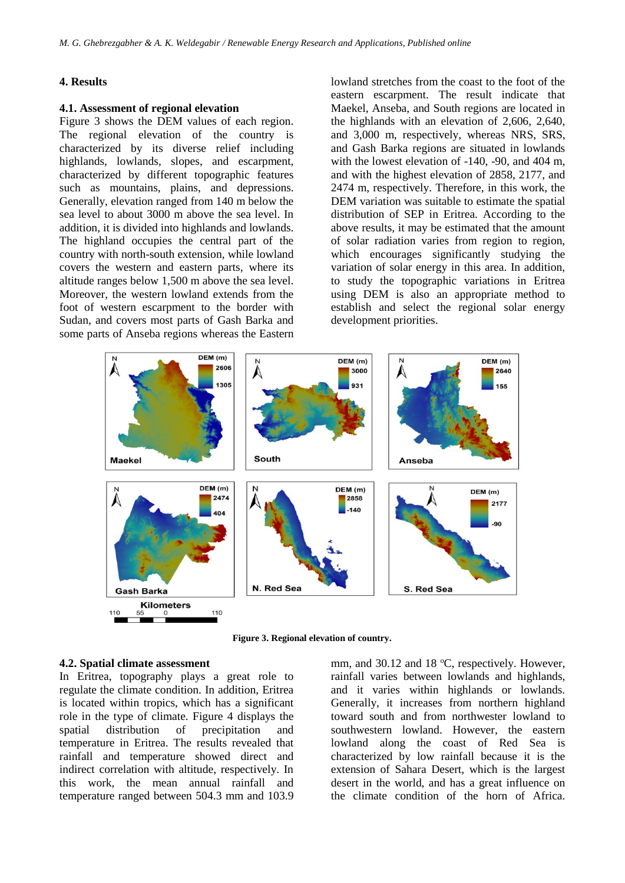#### **4. Results**

#### **4.1. Assessment of regional elevation**

Figure 3 shows the DEM values of each region. The regional elevation of the country is characterized by its diverse relief including highlands, lowlands, slopes, and escarpment, characterized by different topographic features such as mountains, plains, and depressions. Generally, elevation ranged from 140 m below the sea level to about 3000 m above the sea level. In addition, it is divided into highlands and lowlands. The highland occupies the central part of the country with north-south extension, while lowland covers the western and eastern parts, where its altitude ranges below 1,500 m above the sea level. Moreover, the western lowland extends from the foot of western escarpment to the border with Sudan, and covers most parts of Gash Barka and some parts of Anseba regions whereas the Eastern lowland stretches from the coast to the foot of the eastern escarpment. The result indicate that Maekel, Anseba, and South regions are located in the highlands with an elevation of 2,606, 2,640, and 3,000 m, respectively, whereas NRS, SRS, and Gash Barka regions are situated in lowlands with the lowest elevation of -140, -90, and 404 m, and with the highest elevation of 2858, 2177, and 2474 m, respectively. Therefore, in this work, the DEM variation was suitable to estimate the spatial distribution of SEP in Eritrea. According to the above results, it may be estimated that the amount of solar radiation varies from region to region, which encourages significantly studying the variation of solar energy in this area. In addition, to study the topographic variations in Eritrea using DEM is also an appropriate method to establish and select the regional solar energy development priorities.



**Figure 3. Regional elevation of country.**

#### **4.2. Spatial climate assessment**

In Eritrea, topography plays a great role to regulate the climate condition. In addition, Eritrea is located within tropics, which has a significant role in the type of climate. Figure 4 displays the spatial distribution of precipitation and temperature in Eritrea. The results revealed that rainfall and temperature showed direct and indirect correlation with altitude, respectively. In this work, the mean annual rainfall and temperature ranged between 504.3 mm and 103.9 mm, and  $30.12$  and  $18 \text{ °C}$ , respectively. However, rainfall varies between lowlands and highlands, and it varies within highlands or lowlands. Generally, it increases from northern highland toward south and from northwester lowland to southwestern lowland. However, the eastern lowland along the coast of Red Sea is characterized by low rainfall because it is the extension of Sahara Desert, which is the largest desert in the world, and has a great influence on the climate condition of the horn of Africa.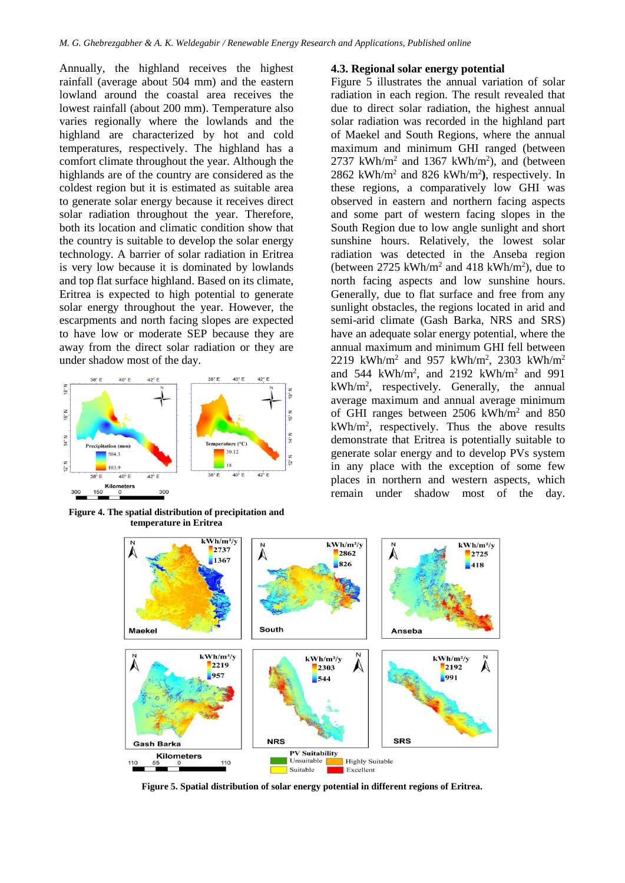Annually, the highland receives the highest rainfall (average about 504 mm) and the eastern lowland around the coastal area receives the lowest rainfall (about 200 mm). Temperature also varies regionally where the lowlands and the highland are characterized by hot and cold temperatures, respectively. The highland has a comfort climate throughout the year. Although the highlands are of the country are considered as the coldest region but it is estimated as suitable area to generate solar energy because it receives direct solar radiation throughout the year. Therefore, both its location and climatic condition show that the country is suitable to develop the solar energy technology. A barrier of solar radiation in Eritrea is very low because it is dominated by lowlands and top flat surface highland. Based on its climate, Eritrea is expected to high potential to generate solar energy throughout the year. However, the escarpments and north facing slopes are expected to have low or moderate SEP because they are away from the direct solar radiation or they are under shadow most of the day.



**Figure 4. The spatial distribution of precipitation and temperature in Eritrea**

## **4.3. Regional solar energy potential**

Figure 5 illustrates the annual variation of solar radiation in each region. The result revealed that due to direct solar radiation, the highest annual solar radiation was recorded in the highland part of Maekel and South Regions, where the annual maximum and minimum GHI ranged (between  $2737$  kWh/m<sup>2</sup> and 1367 kWh/m<sup>2</sup>), and (between  $2862$  kWh/m<sup>2</sup> and 826 kWh/m<sup>2</sup>), respectively. In these regions, a comparatively low GHI was observed in eastern and northern facing aspects and some part of western facing slopes in the South Region due to low angle sunlight and short sunshine hours. Relatively, the lowest solar radiation was detected in the Anseba region (between  $2725 \text{ kWh/m}^2$  and  $418 \text{ kWh/m}^2$ ), due to north facing aspects and low sunshine hours. Generally, due to flat surface and free from any sunlight obstacles, the regions located in arid and semi-arid climate (Gash Barka, NRS and SRS) have an adequate solar energy potential, where the annual maximum and minimum GHI fell between 2219 kWh/m<sup>2</sup> and 957 kWh/m<sup>2</sup>, 2303 kWh/m<sup>2</sup> and  $544 \text{ kWh/m}^2$ , and  $2192 \text{ kWh/m}^2$  and  $991$ kWh/m<sup>2</sup> , respectively. Generally, the annual average maximum and annual average minimum of GHI ranges between 2506 kWh/m<sup>2</sup> and 850 kWh/m<sup>2</sup> , respectively. Thus the above results demonstrate that Eritrea is potentially suitable to generate solar energy and to develop PVs system in any place with the exception of some few places in northern and western aspects, which remain under shadow most of the day.



**Figure 5. Spatial distribution of solar energy potential in different regions of Eritrea.**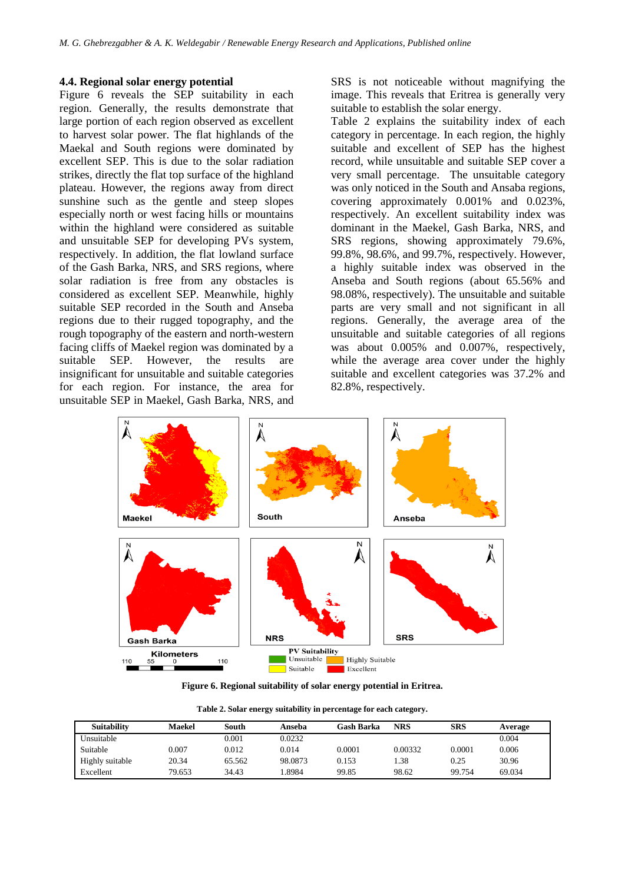## **4.4. Regional solar energy potential**

Figure 6 reveals the SEP suitability in each region. Generally, the results demonstrate that large portion of each region observed as excellent to harvest solar power. The flat highlands of the Maekal and South regions were dominated by excellent SEP. This is due to the solar radiation strikes, directly the flat top surface of the highland plateau. However, the regions away from direct sunshine such as the gentle and steep slopes especially north or west facing hills or mountains within the highland were considered as suitable and unsuitable SEP for developing PVs system, respectively. In addition, the flat lowland surface of the Gash Barka, NRS, and SRS regions, where solar radiation is free from any obstacles is considered as excellent SEP. Meanwhile, highly suitable SEP recorded in the South and Anseba regions due to their rugged topography, and the rough topography of the eastern and north-western facing cliffs of Maekel region was dominated by a suitable SEP. However, the results are insignificant for unsuitable and suitable categories for each region. For instance, the area for unsuitable SEP in Maekel, Gash Barka, NRS, and

SRS is not noticeable without magnifying the image. This reveals that Eritrea is generally very suitable to establish the solar energy.

Table 2 explains the suitability index of each category in percentage. In each region, the highly suitable and excellent of SEP has the highest record, while unsuitable and suitable SEP cover a very small percentage. The unsuitable category was only noticed in the South and Ansaba regions, covering approximately 0.001% and 0.023%, respectively. An excellent suitability index was dominant in the Maekel, Gash Barka, NRS, and SRS regions, showing approximately 79.6%, 99.8%, 98.6%, and 99.7%, respectively. However, a highly suitable index was observed in the Anseba and South regions (about 65.56% and 98.08%, respectively). The unsuitable and suitable parts are very small and not significant in all regions. Generally, the average area of the unsuitable and suitable categories of all regions was about 0.005% and 0.007%, respectively, while the average area cover under the highly suitable and excellent categories was 37.2% and 82.8%, respectively.



**Figure 6. Regional suitability of solar energy potential in Eritrea.**

| Table 2. Solar energy suitability in percentage for each category. |  |  |  |  |
|--------------------------------------------------------------------|--|--|--|--|
|--------------------------------------------------------------------|--|--|--|--|

| <b>Suitability</b> | <b>Maekel</b> | South      | Anseba  | Gash Barka | <b>NRS</b> | <b>SRS</b> | Average |
|--------------------|---------------|------------|---------|------------|------------|------------|---------|
| Unsuitable         |               | $_{0.001}$ | 0.0232  |            |            |            | 0.004   |
| Suitable           | 0.007         | 0.012      | 0.014   | 0.0001     | 0.00332    | 0.0001     | 0.006   |
| Highly suitable    | 20.34         | 65.562     | 98.0873 | 0.153      | .38        | 0.25       | 30.96   |
| Excellent          | 79.653        | 34.43      | .8984   | 99.85      | 98.62      | 99.754     | 69.034  |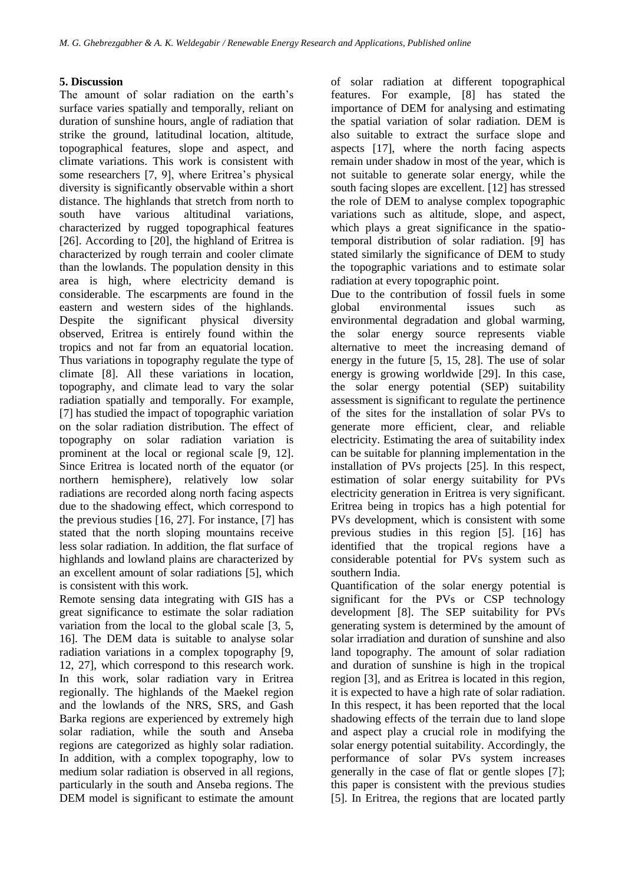# **5. Discussion**

The amount of solar radiation on the earth's surface varies spatially and temporally, reliant on duration of sunshine hours, angle of radiation that strike the ground, latitudinal location, altitude, topographical features, slope and aspect, and climate variations. This work is consistent with some researchers [7, 9], where Eritrea's physical diversity is significantly observable within a short distance. The highlands that stretch from north to south have various altitudinal variations, characterized by rugged topographical features [26]. According to [20], the highland of Eritrea is characterized by rough terrain and cooler climate than the lowlands. The population density in this area is high, where electricity demand is considerable. The escarpments are found in the eastern and western sides of the highlands. Despite the significant physical diversity observed, Eritrea is entirely found within the tropics and not far from an equatorial location. Thus variations in topography regulate the type of climate [8]. All these variations in location, topography, and climate lead to vary the solar radiation spatially and temporally. For example, [7] has studied the impact of topographic variation on the solar radiation distribution. The effect of topography on solar radiation variation is prominent at the local or regional scale [9, 12]. Since Eritrea is located north of the equator (or northern hemisphere), relatively low solar radiations are recorded along north facing aspects due to the shadowing effect, which correspond to the previous studies [16, 27]. For instance, [7] has stated that the north sloping mountains receive less solar radiation. In addition, the flat surface of highlands and lowland plains are characterized by an excellent amount of solar radiations [5], which is consistent with this work.

Remote sensing data integrating with GIS has a great significance to estimate the solar radiation variation from the local to the global scale [3, 5, 16]. The DEM data is suitable to analyse solar radiation variations in a complex topography [9, 12, 27], which correspond to this research work. In this work, solar radiation vary in Eritrea regionally. The highlands of the Maekel region and the lowlands of the NRS, SRS, and Gash Barka regions are experienced by extremely high solar radiation, while the south and Anseba regions are categorized as highly solar radiation. In addition, with a complex topography, low to medium solar radiation is observed in all regions, particularly in the south and Anseba regions. The DEM model is significant to estimate the amount of solar radiation at different topographical features. For example, [8] has stated the importance of DEM for analysing and estimating the spatial variation of solar radiation. DEM is also suitable to extract the surface slope and aspects [17], where the north facing aspects remain under shadow in most of the year, which is not suitable to generate solar energy, while the south facing slopes are excellent. [12] has stressed the role of DEM to analyse complex topographic variations such as altitude, slope, and aspect, which plays a great significance in the spatiotemporal distribution of solar radiation. [9] has stated similarly the significance of DEM to study the topographic variations and to estimate solar radiation at every topographic point.

Due to the contribution of fossil fuels in some global environmental issues such as environmental degradation and global warming, the solar energy source represents viable alternative to meet the increasing demand of energy in the future [5, 15, 28]. The use of solar energy is growing worldwide [29]. In this case, the solar energy potential (SEP) suitability assessment is significant to regulate the pertinence of the sites for the installation of solar PVs to generate more efficient, clear, and reliable electricity. Estimating the area of suitability index can be suitable for planning implementation in the installation of PVs projects [25]. In this respect, estimation of solar energy suitability for PVs electricity generation in Eritrea is very significant. Eritrea being in tropics has a high potential for PVs development, which is consistent with some previous studies in this region [5]. [16] has identified that the tropical regions have a considerable potential for PVs system such as southern India.

Quantification of the solar energy potential is significant for the PVs or CSP technology development [8]. The SEP suitability for PVs generating system is determined by the amount of solar irradiation and duration of sunshine and also land topography. The amount of solar radiation and duration of sunshine is high in the tropical region [3], and as Eritrea is located in this region, it is expected to have a high rate of solar radiation. In this respect, it has been reported that the local shadowing effects of the terrain due to land slope and aspect play a crucial role in modifying the solar energy potential suitability. Accordingly, the performance of solar PVs system increases generally in the case of flat or gentle slopes [7]; this paper is consistent with the previous studies [5]. In Eritrea, the regions that are located partly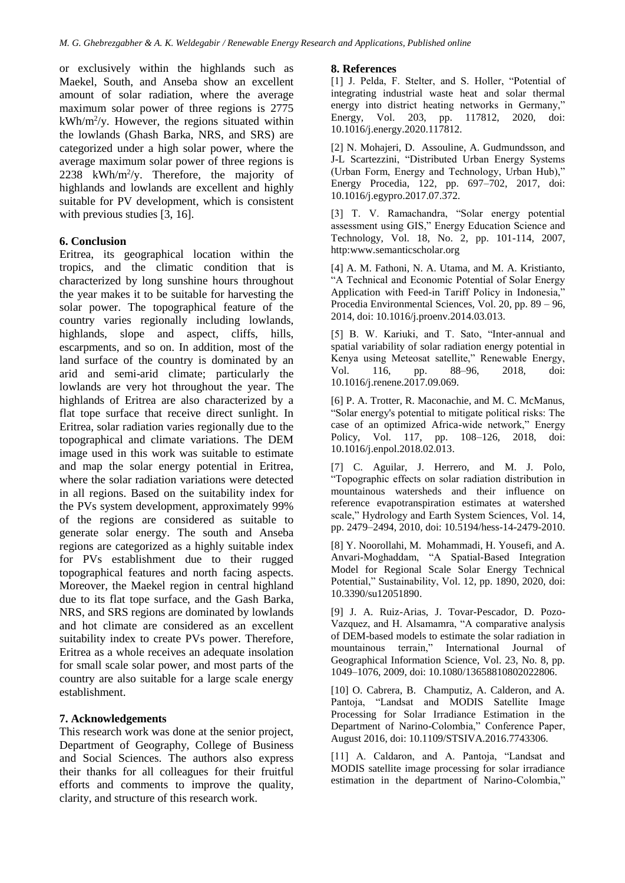or exclusively within the highlands such as Maekel, South, and Anseba show an excellent amount of solar radiation, where the average maximum solar power of three regions is 2775  $kWh/m^2/y$ . However, the regions situated within the lowlands (Ghash Barka, NRS, and SRS) are categorized under a high solar power, where the average maximum solar power of three regions is 2238 kWh/m<sup>2</sup>/y. Therefore, the majority of highlands and lowlands are excellent and highly suitable for PV development, which is consistent with previous studies [3, 16].

# **6. Conclusion**

Eritrea, its geographical location within the tropics, and the climatic condition that is characterized by long sunshine hours throughout the year makes it to be suitable for harvesting the solar power. The topographical feature of the country varies regionally including lowlands, highlands, slope and aspect, cliffs, hills, escarpments, and so on. In addition, most of the land surface of the country is dominated by an arid and semi-arid climate; particularly the lowlands are very hot throughout the year. The highlands of Eritrea are also characterized by a flat tope surface that receive direct sunlight. In Eritrea, solar radiation varies regionally due to the topographical and climate variations. The DEM image used in this work was suitable to estimate and map the solar energy potential in Eritrea, where the solar radiation variations were detected in all regions. Based on the suitability index for the PVs system development, approximately 99% of the regions are considered as suitable to generate solar energy. The south and Anseba regions are categorized as a highly suitable index for PVs establishment due to their rugged topographical features and north facing aspects. Moreover, the Maekel region in central highland due to its flat tope surface, and the Gash Barka, NRS, and SRS regions are dominated by lowlands and hot climate are considered as an excellent suitability index to create PVs power. Therefore, Eritrea as a whole receives an adequate insolation for small scale solar power, and most parts of the country are also suitable for a large scale energy establishment.

# **7. Acknowledgements**

This research work was done at the senior project, Department of Geography, College of Business and Social Sciences. The authors also express their thanks for all colleagues for their fruitful efforts and comments to improve the quality, clarity, and structure of this research work.

## **8. References**

[1] J. Pelda, F. Stelter, and S. Holler, "Potential of integrating industrial waste heat and solar thermal energy into district heating networks in Germany," Energy, Vol. 203, pp. 117812, 2020, doi: 10.1016/j.energy.2020.117812.

[2] N. Mohajeri, D. Assouline, A. Gudmundsson, and J-L Scartezzini, "Distributed Urban Energy Systems (Urban Form, Energy and Technology, Urban Hub)," Energy Procedia, 122, pp. 697–702, 2017, doi: 10.1016/j.egypro.2017.07.372.

[3] T. V. Ramachandra, "Solar energy potential assessment using GIS," Energy Education Science and Technology, Vol. 18, No. 2, pp. 101-114, 2007, http:www.semanticscholar.org

[4] A. M. Fathoni, N. A. Utama, and M. A. Kristianto, "A Technical and Economic Potential of Solar Energy Application with Feed-in Tariff Policy in Indonesia," Procedia Environmental Sciences, Vol. 20, pp. 89 – 96, 2014, doi: 10.1016/j.proenv.2014.03.013.

[5] B. W. Kariuki, and T. Sato, "Inter-annual and spatial variability of solar radiation energy potential in Kenya using Meteosat satellite," Renewable Energy, Vol. 116, pp. 88–96, 2018, doi: 10.1016/j.renene.2017.09.069.

[6] P. A. Trotter, R. Maconachie, and M. C. McManus, "Solar energy's potential to mitigate political risks: The case of an optimized Africa-wide network," Energy Policy, Vol. 117, pp. 108–126, 2018, doi: 10.1016/j.enpol.2018.02.013.

[7] C. Aguilar, J. Herrero, and M. J. Polo, "Topographic effects on solar radiation distribution in mountainous watersheds and their influence on reference evapotranspiration estimates at watershed scale," Hydrology and Earth System Sciences, Vol. 14, pp. 2479–2494, 2010, doi: 10.5194/hess-14-2479-2010.

[8] Y. Noorollahi, M. Mohammadi, H. Yousefi, and A. Anvari-Moghaddam, "A Spatial-Based Integration Model for Regional Scale Solar Energy Technical Potential," Sustainability, Vol. 12, pp. 1890, 2020, doi: 10.3390/su12051890.

[9] J. A. Ruiz-Arias, J. Tovar-Pescador, D. Pozo-Vazquez, and H. Alsamamra, "A comparative analysis of DEM-based models to estimate the solar radiation in mountainous terrain," International Journal of Geographical Information Science, Vol. 23, No. 8, pp. 1049–1076, 2009, doi: 10.1080/13658810802022806.

[10] O. Cabrera, B. Champutiz, A. Calderon, and A. Pantoja, "Landsat and MODIS Satellite Image Processing for Solar Irradiance Estimation in the Department of Narino-Colombia," Conference Paper, August 2016, doi: 10.1109/STSIVA.2016.7743306.

[11] A. Caldaron, and A. Pantoja, "Landsat and MODIS satellite image processing for solar irradiance estimation in the department of Narino-Colombia,"